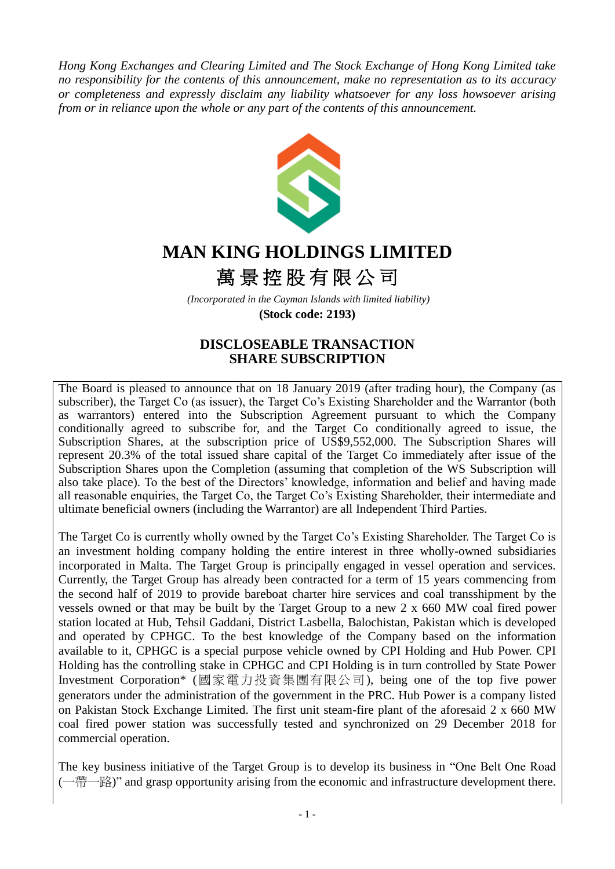*Hong Kong Exchanges and Clearing Limited and The Stock Exchange of Hong Kong Limited take no responsibility for the contents of this announcement, make no representation as to its accuracy or completeness and expressly disclaim any liability whatsoever for any loss howsoever arising from or in reliance upon the whole or any part of the contents of this announcement.*



# **MAN KING HOLDINGS LIMITED**

# 萬景控股有限公司

*(Incorporated in the Cayman Islands with limited liability)*  **(Stock code: 2193)**

## **DISCLOSEABLE TRANSACTION SHARE SUBSCRIPTION**

The Board is pleased to announce that on 18 January 2019 (after trading hour), the Company (as subscriber), the Target Co (as issuer), the Target Co's Existing Shareholder and the Warrantor (both as warrantors) entered into the Subscription Agreement pursuant to which the Company conditionally agreed to subscribe for, and the Target Co conditionally agreed to issue, the Subscription Shares, at the subscription price of US\$9,552,000. The Subscription Shares will represent 20.3% of the total issued share capital of the Target Co immediately after issue of the Subscription Shares upon the Completion (assuming that completion of the WS Subscription will also take place). To the best of the Directors' knowledge, information and belief and having made all reasonable enquiries, the Target Co, the Target Co's Existing Shareholder, their intermediate and ultimate beneficial owners (including the Warrantor) are all Independent Third Parties.

The Target Co is currently wholly owned by the Target Co's Existing Shareholder. The Target Co is an investment holding company holding the entire interest in three wholly-owned subsidiaries incorporated in Malta. The Target Group is principally engaged in vessel operation and services. Currently, the Target Group has already been contracted for a term of 15 years commencing from the second half of 2019 to provide bareboat charter hire services and coal transshipment by the vessels owned or that may be built by the Target Group to a new 2 x 660 MW coal fired power station located at Hub, Tehsil Gaddani, District Lasbella, Balochistan, Pakistan which is developed and operated by CPHGC. To the best knowledge of the Company based on the information available to it, CPHGC is a special purpose vehicle owned by CPI Holding and Hub Power. CPI Holding has the controlling stake in CPHGC and CPI Holding is in turn controlled by State Power Investment Corporation\* (國家電力投資集團有限公司), being one of the top five power generators under the administration of the government in the PRC. Hub Power is a company listed on Pakistan Stock Exchange Limited. The first unit steam-fire plant of the aforesaid 2 x 660 MW coal fired power station was successfully tested and synchronized on 29 December 2018 for commercial operation.

The key business initiative of the Target Group is to develop its business in "One Belt One Road (一帶一路)" and grasp opportunity arising from the economic and infrastructure development there.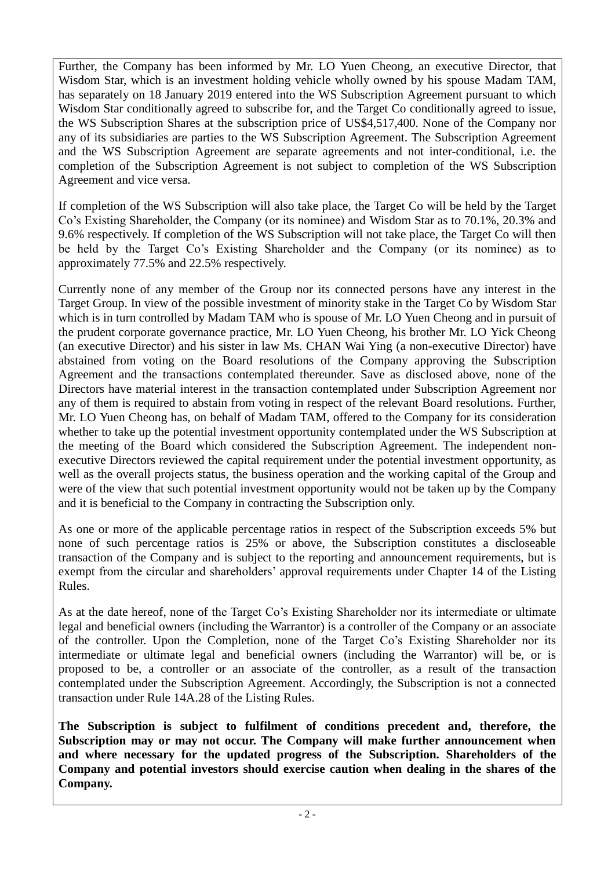Further, the Company has been informed by Mr. LO Yuen Cheong, an executive Director, that Wisdom Star, which is an investment holding vehicle wholly owned by his spouse Madam TAM, has separately on 18 January 2019 entered into the WS Subscription Agreement pursuant to which Wisdom Star conditionally agreed to subscribe for, and the Target Co conditionally agreed to issue, the WS Subscription Shares at the subscription price of US\$4,517,400. None of the Company nor any of its subsidiaries are parties to the WS Subscription Agreement. The Subscription Agreement and the WS Subscription Agreement are separate agreements and not inter-conditional, i.e. the completion of the Subscription Agreement is not subject to completion of the WS Subscription Agreement and vice versa.

If completion of the WS Subscription will also take place, the Target Co will be held by the Target Co's Existing Shareholder, the Company (or its nominee) and Wisdom Star as to 70.1%, 20.3% and 9.6% respectively. If completion of the WS Subscription will not take place, the Target Co will then be held by the Target Co's Existing Shareholder and the Company (or its nominee) as to approximately 77.5% and 22.5% respectively.

Currently none of any member of the Group nor its connected persons have any interest in the Target Group. In view of the possible investment of minority stake in the Target Co by Wisdom Star which is in turn controlled by Madam TAM who is spouse of Mr. LO Yuen Cheong and in pursuit of the prudent corporate governance practice, Mr. LO Yuen Cheong, his brother Mr. LO Yick Cheong (an executive Director) and his sister in law Ms. CHAN Wai Ying (a non-executive Director) have abstained from voting on the Board resolutions of the Company approving the Subscription Agreement and the transactions contemplated thereunder. Save as disclosed above, none of the Directors have material interest in the transaction contemplated under Subscription Agreement nor any of them is required to abstain from voting in respect of the relevant Board resolutions. Further, Mr. LO Yuen Cheong has, on behalf of Madam TAM, offered to the Company for its consideration whether to take up the potential investment opportunity contemplated under the WS Subscription at the meeting of the Board which considered the Subscription Agreement. The independent nonexecutive Directors reviewed the capital requirement under the potential investment opportunity, as well as the overall projects status, the business operation and the working capital of the Group and were of the view that such potential investment opportunity would not be taken up by the Company and it is beneficial to the Company in contracting the Subscription only.

As one or more of the applicable percentage ratios in respect of the Subscription exceeds 5% but none of such percentage ratios is 25% or above, the Subscription constitutes a discloseable transaction of the Company and is subject to the reporting and announcement requirements, but is exempt from the circular and shareholders' approval requirements under Chapter 14 of the Listing Rules.

As at the date hereof, none of the Target Co's Existing Shareholder nor its intermediate or ultimate legal and beneficial owners (including the Warrantor) is a controller of the Company or an associate of the controller. Upon the Completion, none of the Target Co's Existing Shareholder nor its intermediate or ultimate legal and beneficial owners (including the Warrantor) will be, or is proposed to be, a controller or an associate of the controller, as a result of the transaction contemplated under the Subscription Agreement. Accordingly, the Subscription is not a connected transaction under Rule 14A.28 of the Listing Rules.

**The Subscription is subject to fulfilment of conditions precedent and, therefore, the Subscription may or may not occur. The Company will make further announcement when and where necessary for the updated progress of the Subscription. Shareholders of the Company and potential investors should exercise caution when dealing in the shares of the Company.**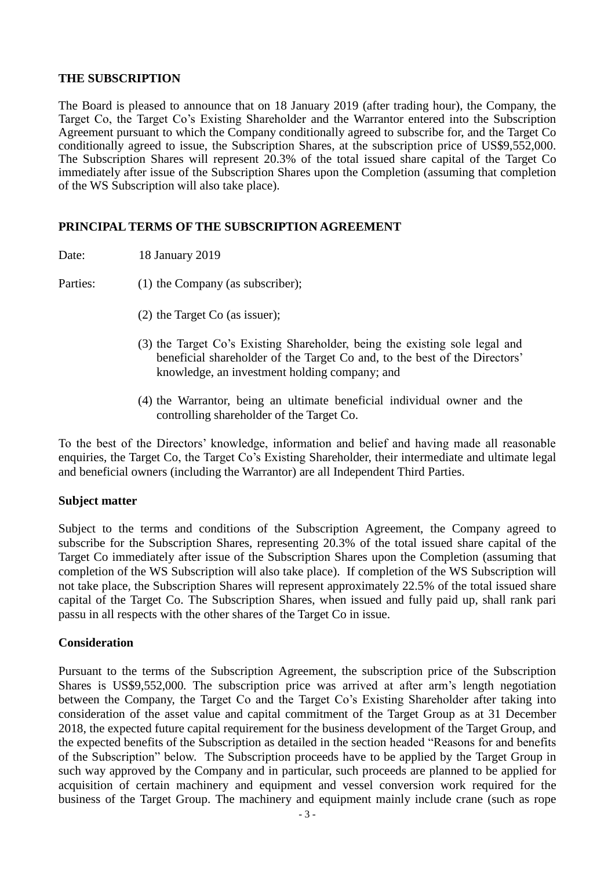#### **THE SUBSCRIPTION**

The Board is pleased to announce that on 18 January 2019 (after trading hour), the Company, the Target Co, the Target Co's Existing Shareholder and the Warrantor entered into the Subscription Agreement pursuant to which the Company conditionally agreed to subscribe for, and the Target Co conditionally agreed to issue, the Subscription Shares, at the subscription price of US\$9,552,000. The Subscription Shares will represent 20.3% of the total issued share capital of the Target Co immediately after issue of the Subscription Shares upon the Completion (assuming that completion of the WS Subscription will also take place).

## **PRINCIPAL TERMS OF THE SUBSCRIPTION AGREEMENT**

Date: 18 January 2019

Parties: (1) the Company (as subscriber);

- (2) the Target Co (as issuer);
- (3) the Target Co's Existing Shareholder, being the existing sole legal and beneficial shareholder of the Target Co and, to the best of the Directors' knowledge, an investment holding company; and
- (4) the Warrantor, being an ultimate beneficial individual owner and the controlling shareholder of the Target Co.

To the best of the Directors' knowledge, information and belief and having made all reasonable enquiries, the Target Co, the Target Co's Existing Shareholder, their intermediate and ultimate legal and beneficial owners (including the Warrantor) are all Independent Third Parties.

#### **Subject matter**

Subject to the terms and conditions of the Subscription Agreement, the Company agreed to subscribe for the Subscription Shares, representing 20.3% of the total issued share capital of the Target Co immediately after issue of the Subscription Shares upon the Completion (assuming that completion of the WS Subscription will also take place). If completion of the WS Subscription will not take place, the Subscription Shares will represent approximately 22.5% of the total issued share capital of the Target Co. The Subscription Shares, when issued and fully paid up, shall rank pari passu in all respects with the other shares of the Target Co in issue.

## **Consideration**

Pursuant to the terms of the Subscription Agreement, the subscription price of the Subscription Shares is US\$9,552,000. The subscription price was arrived at after arm's length negotiation between the Company, the Target Co and the Target Co's Existing Shareholder after taking into consideration of the asset value and capital commitment of the Target Group as at 31 December 2018, the expected future capital requirement for the business development of the Target Group, and the expected benefits of the Subscription as detailed in the section headed "Reasons for and benefits of the Subscription" below. The Subscription proceeds have to be applied by the Target Group in such way approved by the Company and in particular, such proceeds are planned to be applied for acquisition of certain machinery and equipment and vessel conversion work required for the business of the Target Group. The machinery and equipment mainly include crane (such as rope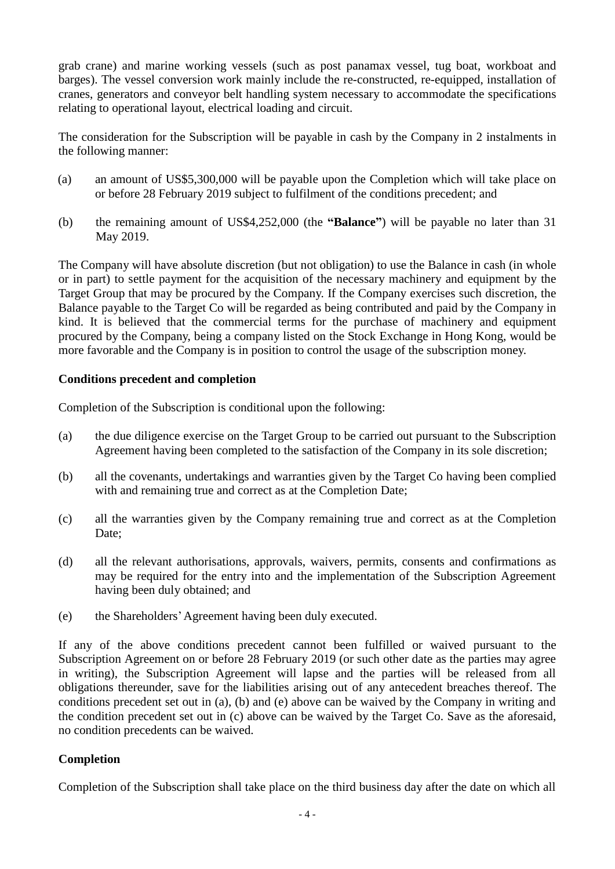grab crane) and marine working vessels (such as post panamax vessel, tug boat, workboat and barges). The vessel conversion work mainly include the re-constructed, re-equipped, installation of cranes, generators and conveyor belt handling system necessary to accommodate the specifications relating to operational layout, electrical loading and circuit.

The consideration for the Subscription will be payable in cash by the Company in 2 instalments in the following manner:

- (a) an amount of US\$5,300,000 will be payable upon the Completion which will take place on or before 28 February 2019 subject to fulfilment of the conditions precedent; and
- (b) the remaining amount of US\$4,252,000 (the **"Balance"**) will be payable no later than 31 May 2019.

The Company will have absolute discretion (but not obligation) to use the Balance in cash (in whole or in part) to settle payment for the acquisition of the necessary machinery and equipment by the Target Group that may be procured by the Company. If the Company exercises such discretion, the Balance payable to the Target Co will be regarded as being contributed and paid by the Company in kind. It is believed that the commercial terms for the purchase of machinery and equipment procured by the Company, being a company listed on the Stock Exchange in Hong Kong, would be more favorable and the Company is in position to control the usage of the subscription money.

## **Conditions precedent and completion**

Completion of the Subscription is conditional upon the following:

- (a) the due diligence exercise on the Target Group to be carried out pursuant to the Subscription Agreement having been completed to the satisfaction of the Company in its sole discretion;
- (b) all the covenants, undertakings and warranties given by the Target Co having been complied with and remaining true and correct as at the Completion Date;
- (c) all the warranties given by the Company remaining true and correct as at the Completion Date:
- (d) all the relevant authorisations, approvals, waivers, permits, consents and confirmations as may be required for the entry into and the implementation of the Subscription Agreement having been duly obtained; and
- (e) the Shareholders'Agreement having been duly executed.

If any of the above conditions precedent cannot been fulfilled or waived pursuant to the Subscription Agreement on or before 28 February 2019 (or such other date as the parties may agree in writing), the Subscription Agreement will lapse and the parties will be released from all obligations thereunder, save for the liabilities arising out of any antecedent breaches thereof. The conditions precedent set out in (a), (b) and (e) above can be waived by the Company in writing and the condition precedent set out in (c) above can be waived by the Target Co. Save as the aforesaid, no condition precedents can be waived.

## **Completion**

Completion of the Subscription shall take place on the third business day after the date on which all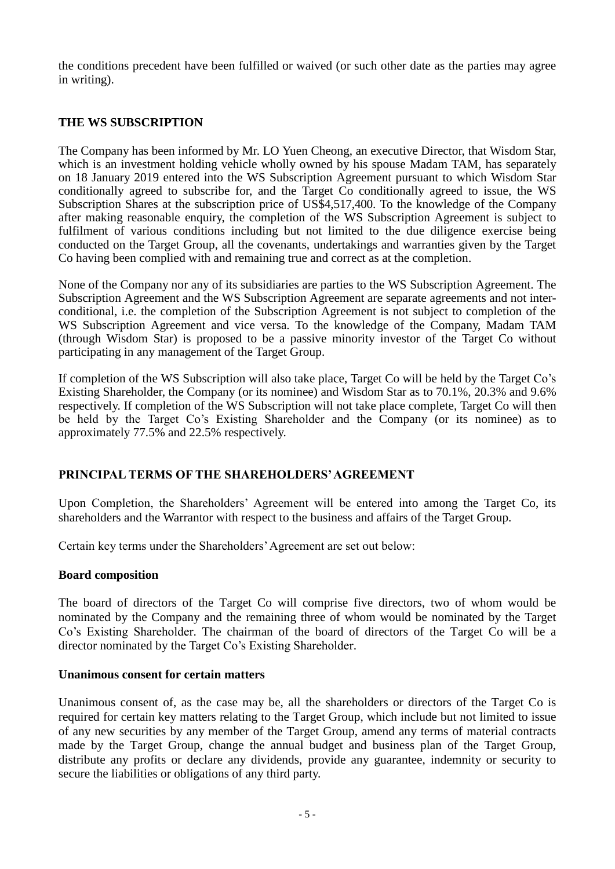the conditions precedent have been fulfilled or waived (or such other date as the parties may agree in writing).

## **THE WS SUBSCRIPTION**

The Company has been informed by Mr. LO Yuen Cheong, an executive Director, that Wisdom Star, which is an investment holding vehicle wholly owned by his spouse Madam TAM, has separately on 18 January 2019 entered into the WS Subscription Agreement pursuant to which Wisdom Star conditionally agreed to subscribe for, and the Target Co conditionally agreed to issue, the WS Subscription Shares at the subscription price of US\$4,517,400. To the knowledge of the Company after making reasonable enquiry, the completion of the WS Subscription Agreement is subject to fulfilment of various conditions including but not limited to the due diligence exercise being conducted on the Target Group, all the covenants, undertakings and warranties given by the Target Co having been complied with and remaining true and correct as at the completion.

None of the Company nor any of its subsidiaries are parties to the WS Subscription Agreement. The Subscription Agreement and the WS Subscription Agreement are separate agreements and not interconditional, i.e. the completion of the Subscription Agreement is not subject to completion of the WS Subscription Agreement and vice versa. To the knowledge of the Company, Madam TAM (through Wisdom Star) is proposed to be a passive minority investor of the Target Co without participating in any management of the Target Group.

If completion of the WS Subscription will also take place, Target Co will be held by the Target Co's Existing Shareholder, the Company (or its nominee) and Wisdom Star as to 70.1%, 20.3% and 9.6% respectively. If completion of the WS Subscription will not take place complete, Target Co will then be held by the Target Co's Existing Shareholder and the Company (or its nominee) as to approximately 77.5% and 22.5% respectively.

## **PRINCIPAL TERMS OF THE SHAREHOLDERS' AGREEMENT**

Upon Completion, the Shareholders' Agreement will be entered into among the Target Co, its shareholders and the Warrantor with respect to the business and affairs of the Target Group.

Certain key terms under the Shareholders' Agreement are set out below:

#### **Board composition**

The board of directors of the Target Co will comprise five directors, two of whom would be nominated by the Company and the remaining three of whom would be nominated by the Target Co's Existing Shareholder. The chairman of the board of directors of the Target Co will be a director nominated by the Target Co's Existing Shareholder.

#### **Unanimous consent for certain matters**

Unanimous consent of, as the case may be, all the shareholders or directors of the Target Co is required for certain key matters relating to the Target Group, which include but not limited to issue of any new securities by any member of the Target Group, amend any terms of material contracts made by the Target Group, change the annual budget and business plan of the Target Group, distribute any profits or declare any dividends, provide any guarantee, indemnity or security to secure the liabilities or obligations of any third party.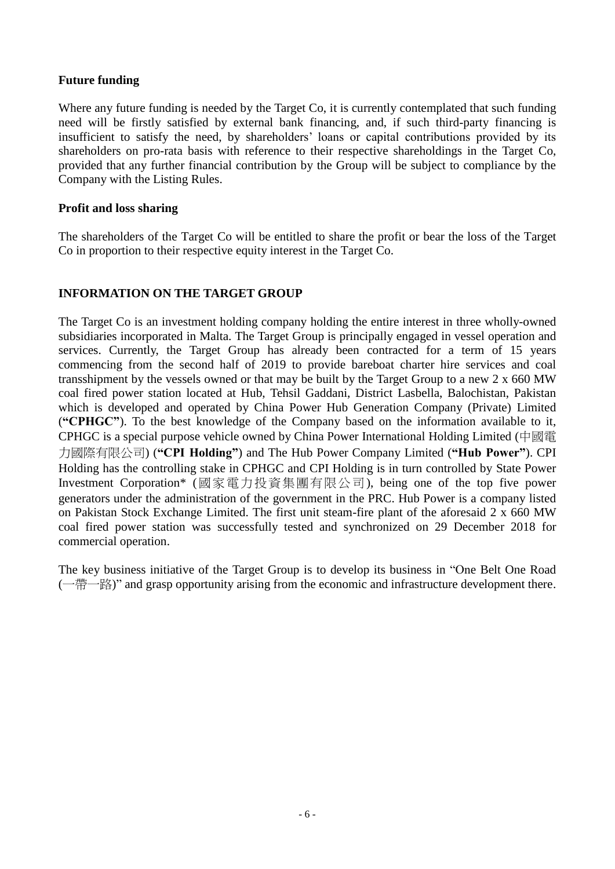#### **Future funding**

Where any future funding is needed by the Target Co, it is currently contemplated that such funding need will be firstly satisfied by external bank financing, and, if such third-party financing is insufficient to satisfy the need, by shareholders' loans or capital contributions provided by its shareholders on pro-rata basis with reference to their respective shareholdings in the Target Co, provided that any further financial contribution by the Group will be subject to compliance by the Company with the Listing Rules.

#### **Profit and loss sharing**

The shareholders of the Target Co will be entitled to share the profit or bear the loss of the Target Co in proportion to their respective equity interest in the Target Co.

#### **INFORMATION ON THE TARGET GROUP**

The Target Co is an investment holding company holding the entire interest in three wholly-owned subsidiaries incorporated in Malta. The Target Group is principally engaged in vessel operation and services. Currently, the Target Group has already been contracted for a term of 15 years commencing from the second half of 2019 to provide bareboat charter hire services and coal transshipment by the vessels owned or that may be built by the Target Group to a new 2 x 660 MW coal fired power station located at Hub, Tehsil Gaddani, District Lasbella, Balochistan, Pakistan which is developed and operated by China Power Hub Generation Company (Private) Limited (**"CPHGC"**). To the best knowledge of the Company based on the information available to it, CPHGC is a special purpose vehicle owned by China Power International Holding Limited (中國電 力國際有限公司) (**"CPI Holding"**) and The Hub Power Company Limited (**"Hub Power"**). CPI Holding has the controlling stake in CPHGC and CPI Holding is in turn controlled by State Power Investment Corporation\* (國家電力投資集團有限公司), being one of the top five power generators under the administration of the government in the PRC. Hub Power is a company listed on Pakistan Stock Exchange Limited. The first unit steam-fire plant of the aforesaid 2 x 660 MW coal fired power station was successfully tested and synchronized on 29 December 2018 for commercial operation.

The key business initiative of the Target Group is to develop its business in "One Belt One Road (一帶一路)" and grasp opportunity arising from the economic and infrastructure development there.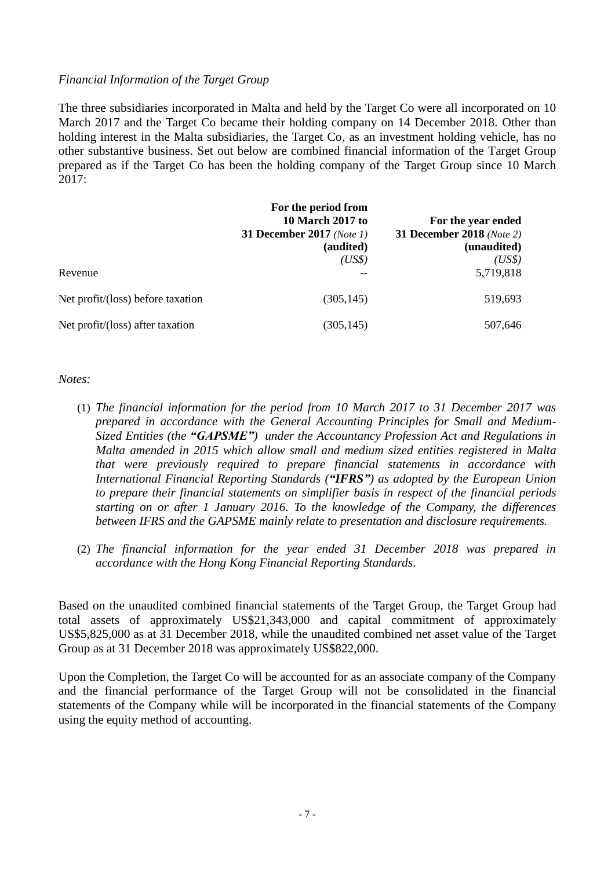#### *Financial Information of the Target Group*

The three subsidiaries incorporated in Malta and held by the Target Co were all incorporated on 10 March 2017 and the Target Co became their holding company on 14 December 2018. Other than holding interest in the Malta subsidiaries, the Target Co, as an investment holding vehicle, has no other substantive business. Set out below are combined financial information of the Target Group prepared as if the Target Co has been the holding company of the Target Group since 10 March 2017:

|                                   | For the period from<br>10 March 2017 to | For the year ended        |
|-----------------------------------|-----------------------------------------|---------------------------|
|                                   | <b>31 December 2017</b> (Note 1)        | 31 December 2018 (Note 2) |
|                                   | (audited)                               | (unaudited)               |
|                                   | (US\$)                                  | (US\$)                    |
| Revenue                           |                                         | 5,719,818                 |
| Net profit/(loss) before taxation | (305, 145)                              | 519,693                   |
| Net profit/(loss) after taxation  | (305, 145)                              | 507,646                   |

*Notes:*

- (1) *The financial information for the period from 10 March 2017 to 31 December 2017 was prepared in accordance with the General Accounting Principles for Small and Medium-Sized Entities (the "GAPSME") under the Accountancy Profession Act and Regulations in Malta amended in 2015 which allow small and medium sized entities registered in Malta that were previously required to prepare financial statements in accordance with International Financial Reporting Standards ("IFRS") as adopted by the European Union to prepare their financial statements on simplifier basis in respect of the financial periods starting on or after 1 January 2016. To the knowledge of the Company, the differences between IFRS and the GAPSME mainly relate to presentation and disclosure requirements.*
- (2) *The financial information for the year ended 31 December 2018 was prepared in accordance with the Hong Kong Financial Reporting Standards*.

Based on the unaudited combined financial statements of the Target Group, the Target Group had total assets of approximately US\$21,343,000 and capital commitment of approximately US\$5,825,000 as at 31 December 2018, while the unaudited combined net asset value of the Target Group as at 31 December 2018 was approximately US\$822,000.

Upon the Completion, the Target Co will be accounted for as an associate company of the Company and the financial performance of the Target Group will not be consolidated in the financial statements of the Company while will be incorporated in the financial statements of the Company using the equity method of accounting.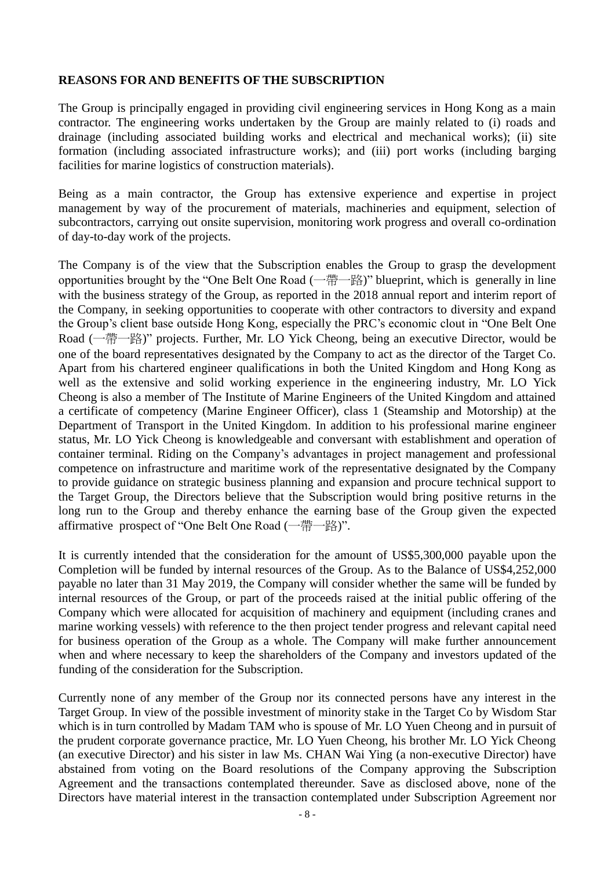#### **REASONS FOR AND BENEFITS OF THE SUBSCRIPTION**

The Group is principally engaged in providing civil engineering services in Hong Kong as a main contractor. The engineering works undertaken by the Group are mainly related to (i) roads and drainage (including associated building works and electrical and mechanical works); (ii) site formation (including associated infrastructure works); and (iii) port works (including barging facilities for marine logistics of construction materials).

Being as a main contractor, the Group has extensive experience and expertise in project management by way of the procurement of materials, machineries and equipment, selection of subcontractors, carrying out onsite supervision, monitoring work progress and overall co-ordination of day-to-day work of the projects.

The Company is of the view that the Subscription enables the Group to grasp the development opportunities brought by the "One Belt One Road (一帶一路)" blueprint, which is generally in line with the business strategy of the Group, as reported in the 2018 annual report and interim report of the Company, in seeking opportunities to cooperate with other contractors to diversity and expand the Group's client base outside Hong Kong, especially the PRC's economic clout in "One Belt One Road (一帶一路)" projects. Further, Mr. LO Yick Cheong, being an executive Director, would be one of the board representatives designated by the Company to act as the director of the Target Co. Apart from his chartered engineer qualifications in both the United Kingdom and Hong Kong as well as the extensive and solid working experience in the engineering industry, Mr. LO Yick Cheong is also a member of The Institute of Marine Engineers of the United Kingdom and attained a certificate of competency (Marine Engineer Officer), class 1 (Steamship and Motorship) at the Department of Transport in the United Kingdom. In addition to his professional marine engineer status, Mr. LO Yick Cheong is knowledgeable and conversant with establishment and operation of container terminal. Riding on the Company's advantages in project management and professional competence on infrastructure and maritime work of the representative designated by the Company to provide guidance on strategic business planning and expansion and procure technical support to the Target Group, the Directors believe that the Subscription would bring positive returns in the long run to the Group and thereby enhance the earning base of the Group given the expected affirmative prospect of "One Belt One Road (一帶一路)".

It is currently intended that the consideration for the amount of US\$5,300,000 payable upon the Completion will be funded by internal resources of the Group. As to the Balance of US\$4,252,000 payable no later than 31 May 2019, the Company will consider whether the same will be funded by internal resources of the Group, or part of the proceeds raised at the initial public offering of the Company which were allocated for acquisition of machinery and equipment (including cranes and marine working vessels) with reference to the then project tender progress and relevant capital need for business operation of the Group as a whole. The Company will make further announcement when and where necessary to keep the shareholders of the Company and investors updated of the funding of the consideration for the Subscription.

Currently none of any member of the Group nor its connected persons have any interest in the Target Group. In view of the possible investment of minority stake in the Target Co by Wisdom Star which is in turn controlled by Madam TAM who is spouse of Mr. LO Yuen Cheong and in pursuit of the prudent corporate governance practice, Mr. LO Yuen Cheong, his brother Mr. LO Yick Cheong (an executive Director) and his sister in law Ms. CHAN Wai Ying (a non-executive Director) have abstained from voting on the Board resolutions of the Company approving the Subscription Agreement and the transactions contemplated thereunder. Save as disclosed above, none of the Directors have material interest in the transaction contemplated under Subscription Agreement nor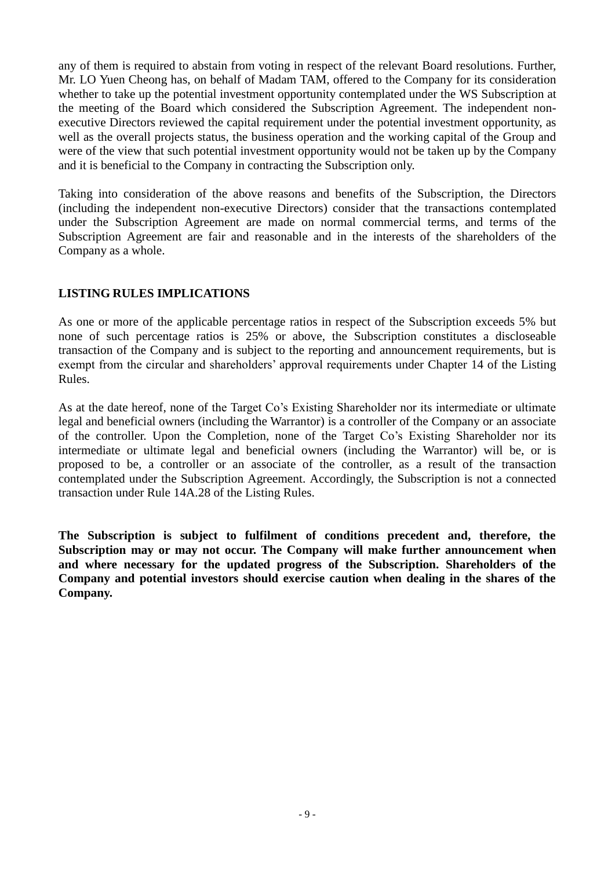any of them is required to abstain from voting in respect of the relevant Board resolutions. Further, Mr. LO Yuen Cheong has, on behalf of Madam TAM, offered to the Company for its consideration whether to take up the potential investment opportunity contemplated under the WS Subscription at the meeting of the Board which considered the Subscription Agreement. The independent nonexecutive Directors reviewed the capital requirement under the potential investment opportunity, as well as the overall projects status, the business operation and the working capital of the Group and were of the view that such potential investment opportunity would not be taken up by the Company and it is beneficial to the Company in contracting the Subscription only.

Taking into consideration of the above reasons and benefits of the Subscription, the Directors (including the independent non-executive Directors) consider that the transactions contemplated under the Subscription Agreement are made on normal commercial terms, and terms of the Subscription Agreement are fair and reasonable and in the interests of the shareholders of the Company as a whole.

## **LISTING RULES IMPLICATIONS**

As one or more of the applicable percentage ratios in respect of the Subscription exceeds 5% but none of such percentage ratios is 25% or above, the Subscription constitutes a discloseable transaction of the Company and is subject to the reporting and announcement requirements, but is exempt from the circular and shareholders' approval requirements under Chapter 14 of the Listing Rules.

As at the date hereof, none of the Target Co's Existing Shareholder nor its intermediate or ultimate legal and beneficial owners (including the Warrantor) is a controller of the Company or an associate of the controller. Upon the Completion, none of the Target Co's Existing Shareholder nor its intermediate or ultimate legal and beneficial owners (including the Warrantor) will be, or is proposed to be, a controller or an associate of the controller, as a result of the transaction contemplated under the Subscription Agreement. Accordingly, the Subscription is not a connected transaction under Rule 14A.28 of the Listing Rules.

**The Subscription is subject to fulfilment of conditions precedent and, therefore, the Subscription may or may not occur. The Company will make further announcement when and where necessary for the updated progress of the Subscription. Shareholders of the Company and potential investors should exercise caution when dealing in the shares of the Company.**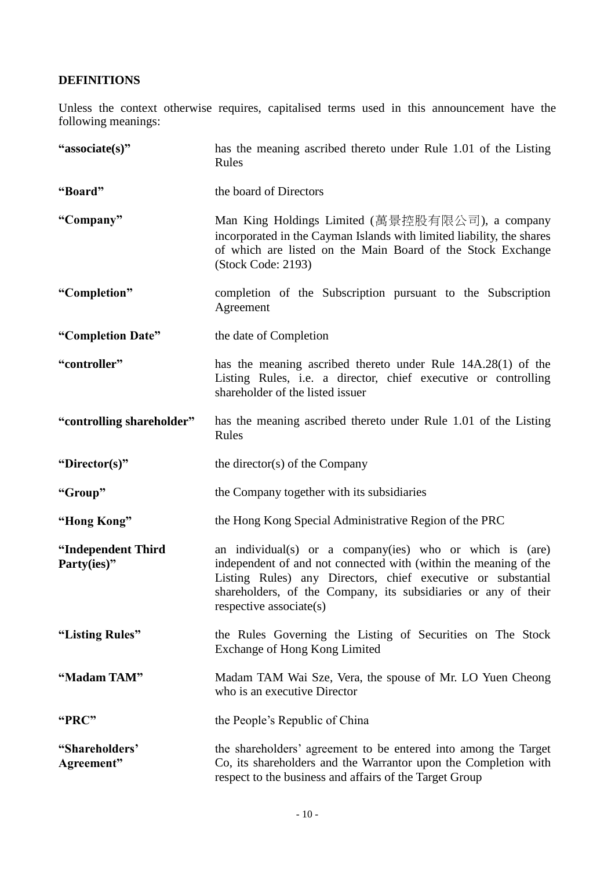## **DEFINITIONS**

Unless the context otherwise requires, capitalised terms used in this announcement have the following meanings:

| "associate(s)"                    | has the meaning ascribed thereto under Rule 1.01 of the Listing<br>Rules                                                                                                                                                                                                                  |  |
|-----------------------------------|-------------------------------------------------------------------------------------------------------------------------------------------------------------------------------------------------------------------------------------------------------------------------------------------|--|
| "Board"                           | the board of Directors                                                                                                                                                                                                                                                                    |  |
| "Company"                         | Man King Holdings Limited (萬景控股有限公司), a company<br>incorporated in the Cayman Islands with limited liability, the shares<br>of which are listed on the Main Board of the Stock Exchange<br>(Stock Code: 2193)                                                                             |  |
| "Completion"                      | completion of the Subscription pursuant to the Subscription<br>Agreement                                                                                                                                                                                                                  |  |
| "Completion Date"                 | the date of Completion                                                                                                                                                                                                                                                                    |  |
| "controller"                      | has the meaning ascribed thereto under Rule 14A.28(1) of the<br>Listing Rules, i.e. a director, chief executive or controlling<br>shareholder of the listed issuer                                                                                                                        |  |
| "controlling shareholder"         | has the meaning ascribed thereto under Rule 1.01 of the Listing<br>Rules                                                                                                                                                                                                                  |  |
| "Director(s)"                     | the director(s) of the Company                                                                                                                                                                                                                                                            |  |
| "Group"                           | the Company together with its subsidiaries                                                                                                                                                                                                                                                |  |
| "Hong Kong"                       | the Hong Kong Special Administrative Region of the PRC                                                                                                                                                                                                                                    |  |
| "Independent Third<br>Party(ies)" | an individual(s) or a company(ies) who or which is (are)<br>independent of and not connected with (within the meaning of the<br>Listing Rules) any Directors, chief executive or substantial<br>shareholders, of the Company, its subsidiaries or any of their<br>respective associate(s) |  |
| "Listing Rules"                   | the Rules Governing the Listing of Securities on The Stock<br>Exchange of Hong Kong Limited                                                                                                                                                                                               |  |
| "Madam TAM"                       | Madam TAM Wai Sze, Vera, the spouse of Mr. LO Yuen Cheong<br>who is an executive Director                                                                                                                                                                                                 |  |
| "PRC"                             | the People's Republic of China                                                                                                                                                                                                                                                            |  |
| "Shareholders"<br>Agreement"      | the shareholders' agreement to be entered into among the Target<br>Co, its shareholders and the Warrantor upon the Completion with<br>respect to the business and affairs of the Target Group                                                                                             |  |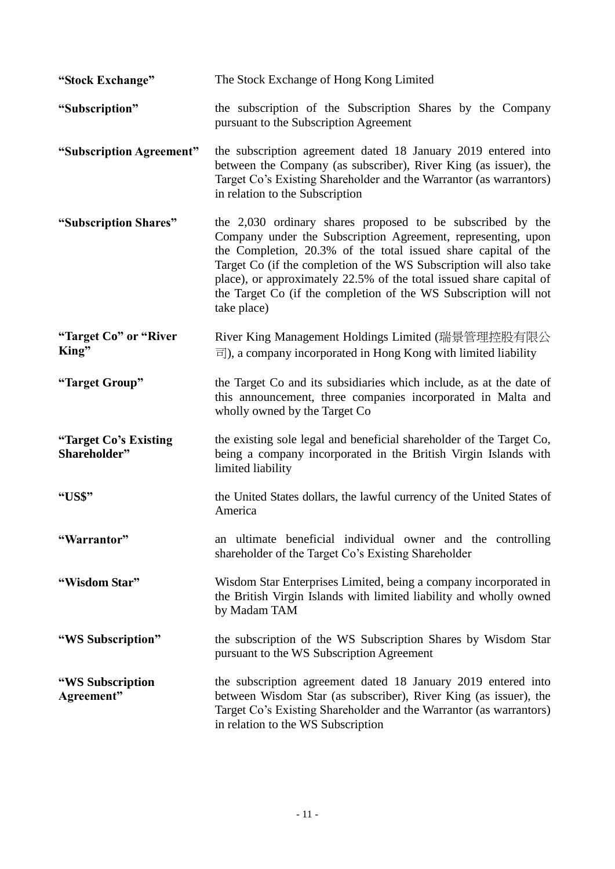| "Stock Exchange"                      | The Stock Exchange of Hong Kong Limited                                                                                                                                                                                                                                                                                                                                                                                      |
|---------------------------------------|------------------------------------------------------------------------------------------------------------------------------------------------------------------------------------------------------------------------------------------------------------------------------------------------------------------------------------------------------------------------------------------------------------------------------|
| "Subscription"                        | the subscription of the Subscription Shares by the Company<br>pursuant to the Subscription Agreement                                                                                                                                                                                                                                                                                                                         |
| "Subscription Agreement"              | the subscription agreement dated 18 January 2019 entered into<br>between the Company (as subscriber), River King (as issuer), the<br>Target Co's Existing Shareholder and the Warrantor (as warrantors)<br>in relation to the Subscription                                                                                                                                                                                   |
| "Subscription Shares"                 | the 2,030 ordinary shares proposed to be subscribed by the<br>Company under the Subscription Agreement, representing, upon<br>the Completion, 20.3% of the total issued share capital of the<br>Target Co (if the completion of the WS Subscription will also take<br>place), or approximately 22.5% of the total issued share capital of<br>the Target Co (if the completion of the WS Subscription will not<br>take place) |
| "Target Co" or "River<br>King"        | River King Management Holdings Limited (瑞景管理控股有限公<br>$\overline{\equiv}$ ), a company incorporated in Hong Kong with limited liability                                                                                                                                                                                                                                                                                       |
| "Target Group"                        | the Target Co and its subsidiaries which include, as at the date of<br>this announcement, three companies incorporated in Malta and<br>wholly owned by the Target Co                                                                                                                                                                                                                                                         |
| "Target Co's Existing<br>Shareholder" | the existing sole legal and beneficial shareholder of the Target Co,<br>being a company incorporated in the British Virgin Islands with<br>limited liability                                                                                                                                                                                                                                                                 |
| "US\$"                                | the United States dollars, the lawful currency of the United States of<br>America                                                                                                                                                                                                                                                                                                                                            |
| "Warrantor"                           | an ultimate beneficial individual owner and the controlling<br>shareholder of the Target Co's Existing Shareholder                                                                                                                                                                                                                                                                                                           |
| "Wisdom Star"                         | Wisdom Star Enterprises Limited, being a company incorporated in<br>the British Virgin Islands with limited liability and wholly owned<br>by Madam TAM                                                                                                                                                                                                                                                                       |
| "WS Subscription"                     | the subscription of the WS Subscription Shares by Wisdom Star<br>pursuant to the WS Subscription Agreement                                                                                                                                                                                                                                                                                                                   |
| "WS Subscription<br>Agreement"        | the subscription agreement dated 18 January 2019 entered into<br>between Wisdom Star (as subscriber), River King (as issuer), the<br>Target Co's Existing Shareholder and the Warrantor (as warrantors)<br>in relation to the WS Subscription                                                                                                                                                                                |